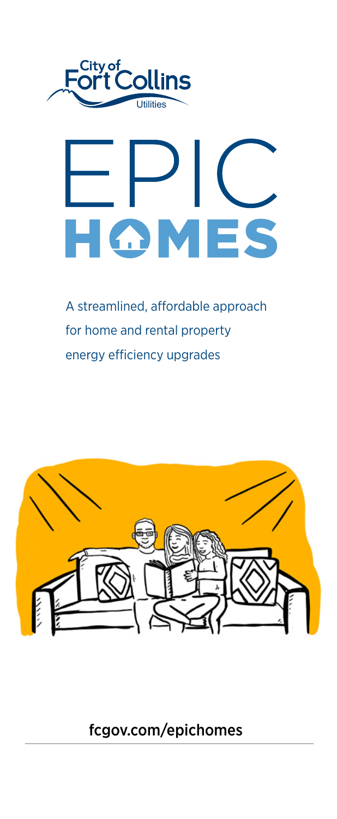

# OMES н

A streamlined, affordable approach for home and rental property energy efficiency upgrades



[fcgov.com/epichomes](http://fcgov.com/epichomes)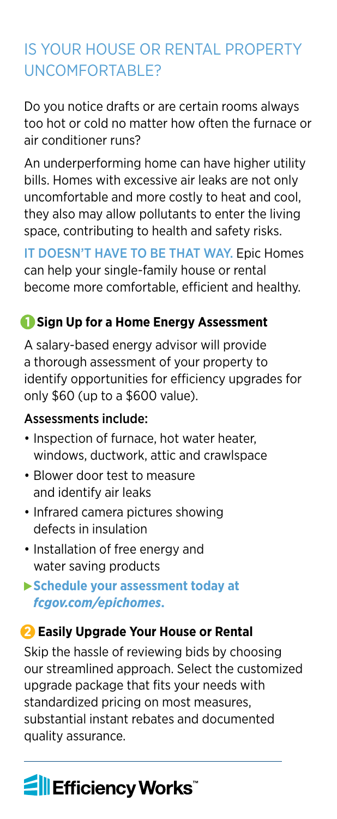# IS YOUR HOUSE OR RENTAL PROPERTY UNCOMFORTABLE?

Do you notice drafts or are certain rooms always too hot or cold no matter how often the furnace or air conditioner runs?

An underperforming home can have higher utility bills. Homes with excessive air leaks are not only uncomfortable and more costly to heat and cool, they also may allow pollutants to enter the living space, contributing to health and safety risks.

IT DOESN'T HAVE TO BE THAT WAY. Epic Homes can help your single-family house or rental become more comfortable, efficient and healthy.

#### **1 Sign Up for a Home Energy Assessment**

A salary-based energy advisor will provide a thorough assessment of your property to identify opportunities for efficiency upgrades for only \$60 (up to a \$600 value).

#### Assessments include:

- Inspection of furnace, hot water heater, windows, ductwork, attic and crawlspace
- Blower door test to measure and identify air leaks
- Infrared camera pictures showing defects in insulation
- Installation of free energy and water saving products
- **Schedule your assessment today at**  *[fcgov.com/epichomes](http://fcgov.com/epichomes)***.**

#### **2 Easily Upgrade Your House or Rental**

Skip the hassle of reviewing bids by choosing our streamlined approach. Select the customized upgrade package that fits your needs with standardized pricing on most measures, substantial instant rebates and documented quality assurance.

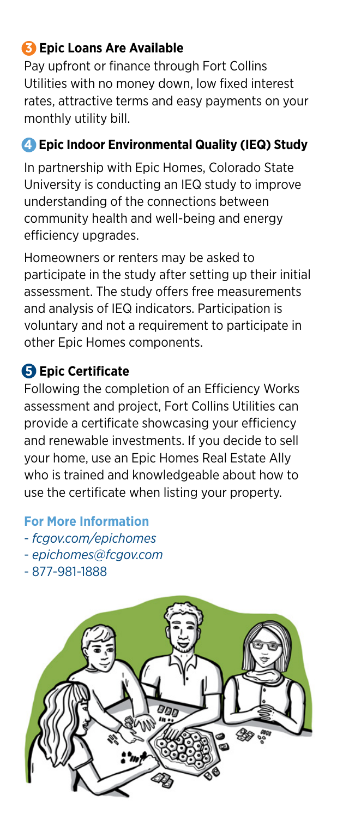# **3 Epic Loans Are Available**

Pay upfront or finance through Fort Collins Utilities with no money down, low fixed interest rates, attractive terms and easy payments on your monthly utility bill.

# **4 Epic Indoor Environmental Quality (IEQ) Study**

In partnership with Epic Homes, Colorado State University is conducting an IEQ study to improve understanding of the connections between community health and well-being and energy efficiency upgrades.

Homeowners or renters may be asked to participate in the study after setting up their initial assessment. The study offers free measurements and analysis of IEQ indicators. Participation is voluntary and not a requirement to participate in other Epic Homes components.

### **5 Epic Certificate**

Following the completion of an Efficiency Works assessment and project, Fort Collins Utilities can provide a certificate showcasing your efficiency and renewable investments. If you decide to sell your home, use an Epic Homes Real Estate Ally who is trained and knowledgeable about how to use the certificate when listing your property.

**For More Information**

- *[fcgov.com/epichomes](http://fcgov.com/epichomes)*
- *[epichomes@fcgov.com](mailto:epichomes@fcgov.com)*
- 877-981-1888